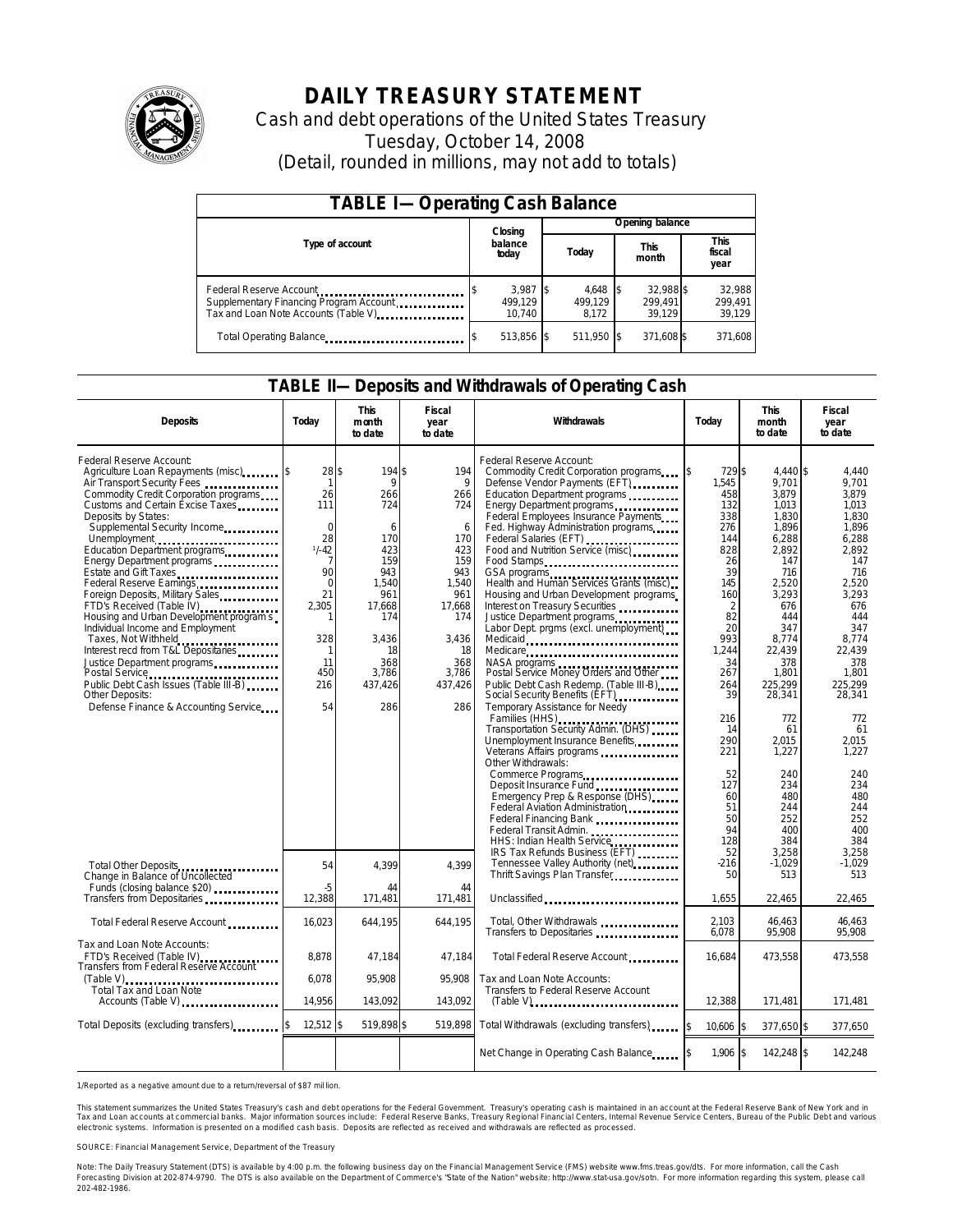

# **DAILY TREASURY STATEMENT**

Cash and debt operations of the United States Treasury Tuesday, October 14, 2008 (Detail, rounded in millions, may not add to totals)

| <b>TABLE I-Operating Cash Balance</b>                                                                      |                                 |                                |                                |                             |  |  |  |  |  |
|------------------------------------------------------------------------------------------------------------|---------------------------------|--------------------------------|--------------------------------|-----------------------------|--|--|--|--|--|
|                                                                                                            | Closing                         |                                | Opening balance                |                             |  |  |  |  |  |
| Type of account                                                                                            | balance<br>today                | Today                          | This<br>month                  | This<br>fiscal<br>year      |  |  |  |  |  |
| Federal Reserve Account<br>Supplementary Financing Program Account<br>Tax and Loan Note Accounts (Table V) | $3,987$ \$<br>499.129<br>10.740 | $4,648$ \$<br>499.129<br>8.172 | 32.988 \$<br>299.491<br>39.129 | 32,988<br>299,491<br>39,129 |  |  |  |  |  |
| Total Operating Balance                                                                                    | 513,856 \$                      | 511,950 \$                     | 371,608 \$                     | 371,608                     |  |  |  |  |  |

### **TABLE II—Deposits and Withdrawals of Operating Cash**

| <b>Deposits</b>                                                                                                                                                                                                                                                                                                                                                                                                                                                                                                                                                                                                                                                                                                                                     | Today                                                                                                                        | <b>This</b><br>month<br>to date                                                                                                              | Fiscal<br>year<br>to date                                                                                                                 | Withdrawals                                                                                                                                                                                                                                                                                                                                                                                                                                                                                                                                                                                                                                                                                                                                                                                                                                                                                                                                                                                                                                              | Today                                                                                                                                                                                                                             | <b>This</b><br>month<br>to date                                                                                                                                                                                                                                      | Fiscal<br>year<br>to date                                                                                                                                                                                                                                         |  |
|-----------------------------------------------------------------------------------------------------------------------------------------------------------------------------------------------------------------------------------------------------------------------------------------------------------------------------------------------------------------------------------------------------------------------------------------------------------------------------------------------------------------------------------------------------------------------------------------------------------------------------------------------------------------------------------------------------------------------------------------------------|------------------------------------------------------------------------------------------------------------------------------|----------------------------------------------------------------------------------------------------------------------------------------------|-------------------------------------------------------------------------------------------------------------------------------------------|----------------------------------------------------------------------------------------------------------------------------------------------------------------------------------------------------------------------------------------------------------------------------------------------------------------------------------------------------------------------------------------------------------------------------------------------------------------------------------------------------------------------------------------------------------------------------------------------------------------------------------------------------------------------------------------------------------------------------------------------------------------------------------------------------------------------------------------------------------------------------------------------------------------------------------------------------------------------------------------------------------------------------------------------------------|-----------------------------------------------------------------------------------------------------------------------------------------------------------------------------------------------------------------------------------|----------------------------------------------------------------------------------------------------------------------------------------------------------------------------------------------------------------------------------------------------------------------|-------------------------------------------------------------------------------------------------------------------------------------------------------------------------------------------------------------------------------------------------------------------|--|
| Federal Reserve Account:<br>Agriculture Loan Repayments (misc) [\$<br>Air Transport Security Fees<br>Commodity Credit Corporation programs<br>Customs and Certain Excise Taxes<br>Deposits by States:<br>Supplemental Security Income<br>Unemployment<br>Education Department programs<br>Energy Department programs<br>Estate and Gift Taxes<br>Federal Reserve Earnings<br>Foreign Deposits, Military Sales<br>FTD's Received (Table IV)<br>Housing and Urban Development program s<br>Individual Income and Employment<br>Taxes, Not Withheld<br>Interest recd from T&L Depositaries<br>Justice Department programs<br>Postal Service<br>Public Debt Cash Issues (Table III-B)<br><b>Other Deposits:</b><br>Defense Finance & Accounting Service | 28S<br>$\mathbf{1}$<br>26<br>111<br>$\mathbf 0$<br>28<br>$1/ -42$<br>90<br>0<br>21<br>2,305<br>328<br>11<br>450<br>216<br>54 | 194 \$<br>9<br>266<br>724<br>6<br>170<br>423<br>159<br>943<br>1,540<br>961<br>17.668<br>174<br>3,436<br>18<br>368<br>3,786<br>437.426<br>286 | 194<br>9<br>266<br>724<br>6<br>170<br>423<br>159<br>943<br>1,540<br>961<br>17.668<br>174<br>3,436<br>18<br>368<br>3,786<br>437,426<br>286 | Federal Reserve Account:<br>Commodity Credit Corporation programs<br>Defense Vendor Payments (EFT)<br>Education Department programs<br>Energy Department programs<br>Federal Employees Insurance Payments<br>Fed. Highway Administration programs<br>Federal Salaries (EFT)<br>Food and Nutrition Service (misc)<br>Food Stamps<br>GSA programs<br>Health and Human Services Grants (misc)<br>Housing and Urban Development programs<br>Interest on Treasury Securities<br>Justice Department programs<br>Labor Dept. prgms (excl. unemployment)<br>Medicaid<br>Medicare<br>NASA programs<br>Postal Service Money Orders and Other<br>Public Debt Cash Redemp. (Table III-B)<br>Social Security Benefits (EFT)<br>Temporary Assistance for Needy<br>Families (HHS)<br>Transportation Security Admin. (DHS)<br>Unemployment Insurance Benefits<br>Veterans Affairs programs<br>Other Withdrawals:<br>Emergency Prep & Response (DHS)<br>Federal Aviation Administration<br>Federal Financing Bank<br>Federal Transit Admin.<br>HHS: Indian Health Service | 729\$<br>1.545<br>458<br>132<br>338<br>276<br>144<br>828<br>26<br>39<br>145<br>160<br>$\overline{2}$<br>82<br>20<br>993<br>1.244<br>34<br>267<br>264<br>39<br>216<br>14<br>290<br>221<br>52<br>127<br>60<br>51<br>50<br>94<br>128 | 4.440 \$<br>9.701<br>3.879<br>1,013<br>1,830<br>1,896<br>6,288<br>2.892<br>147<br>716<br>2,520<br>3.293<br>676<br>444<br>347<br>8,774<br>22.439<br>378<br>1,801<br>225.299<br>28,341<br>772<br>61<br>2.015<br>1,227<br>240<br>234<br>480<br>244<br>252<br>400<br>384 | 4,440<br>9.701<br>3.879<br>1,013<br>1.830<br>1,896<br>6,288<br>2.892<br>147<br>716<br>2,520<br>3.293<br>676<br>444<br>347<br>8,774<br>22.439<br>378<br>1,801<br>225.299<br>28,341<br>772<br>61<br>2.015<br>1.227<br>240<br>234<br>480<br>244<br>252<br>400<br>384 |  |
| Total Other Deposits<br>Change in Balance of Uncollected<br>Funds (closing balance \$20)                                                                                                                                                                                                                                                                                                                                                                                                                                                                                                                                                                                                                                                            | 54<br>-5                                                                                                                     | 4.399<br>44                                                                                                                                  | 4.399<br>44                                                                                                                               | IRS Tax Refunds Business (EFT)<br>Tennessee Valley Authority (net)<br>Thrift Savings Plan Transfer                                                                                                                                                                                                                                                                                                                                                                                                                                                                                                                                                                                                                                                                                                                                                                                                                                                                                                                                                       | 52<br>$-216$<br>50                                                                                                                                                                                                                | 3.258<br>$-1,029$<br>513                                                                                                                                                                                                                                             | 3.258<br>$-1,029$<br>513                                                                                                                                                                                                                                          |  |
| Transfers from Depositaries                                                                                                                                                                                                                                                                                                                                                                                                                                                                                                                                                                                                                                                                                                                         | 12,388                                                                                                                       | 171.481                                                                                                                                      | 171.481                                                                                                                                   | Unclassified                                                                                                                                                                                                                                                                                                                                                                                                                                                                                                                                                                                                                                                                                                                                                                                                                                                                                                                                                                                                                                             | 1,655                                                                                                                                                                                                                             | 22,465                                                                                                                                                                                                                                                               | 22,465                                                                                                                                                                                                                                                            |  |
| Total Federal Reserve Account                                                                                                                                                                                                                                                                                                                                                                                                                                                                                                                                                                                                                                                                                                                       | 16.023                                                                                                                       | 644.195                                                                                                                                      | 644.195                                                                                                                                   | Total, Other Withdrawals                                                                                                                                                                                                                                                                                                                                                                                                                                                                                                                                                                                                                                                                                                                                                                                                                                                                                                                                                                                                                                 | 2.103<br>6,078                                                                                                                                                                                                                    | 46,463<br>95,908                                                                                                                                                                                                                                                     | 46,463<br>95.908                                                                                                                                                                                                                                                  |  |
| Tax and Loan Note Accounts:<br>FTD's Received (Table IV)<br>Transfers from Federal Reserve Account                                                                                                                                                                                                                                                                                                                                                                                                                                                                                                                                                                                                                                                  | 8.878                                                                                                                        | 47,184                                                                                                                                       | 47,184                                                                                                                                    | Total Federal Reserve Account                                                                                                                                                                                                                                                                                                                                                                                                                                                                                                                                                                                                                                                                                                                                                                                                                                                                                                                                                                                                                            | 16.684                                                                                                                                                                                                                            | 473,558                                                                                                                                                                                                                                                              | 473,558                                                                                                                                                                                                                                                           |  |
| $(Table V)$<br>Total Tax and Loan Note<br>Accounts (Table V)                                                                                                                                                                                                                                                                                                                                                                                                                                                                                                                                                                                                                                                                                        | 6.078<br>14,956                                                                                                              | 95.908<br>143,092                                                                                                                            | 95.908<br>143,092                                                                                                                         | Tax and Loan Note Accounts:<br>Transfers to Federal Reserve Account<br>$(Table V)$ ,                                                                                                                                                                                                                                                                                                                                                                                                                                                                                                                                                                                                                                                                                                                                                                                                                                                                                                                                                                     | 12.388                                                                                                                                                                                                                            | 171,481                                                                                                                                                                                                                                                              | 171,481                                                                                                                                                                                                                                                           |  |
| Total Deposits (excluding transfers)                                                                                                                                                                                                                                                                                                                                                                                                                                                                                                                                                                                                                                                                                                                | $12,512$ \$                                                                                                                  | 519,898 \$                                                                                                                                   | 519.898                                                                                                                                   | Total Withdrawals (excluding transfers)                                                                                                                                                                                                                                                                                                                                                                                                                                                                                                                                                                                                                                                                                                                                                                                                                                                                                                                                                                                                                  | 10,606 \$                                                                                                                                                                                                                         | 377,650 \$                                                                                                                                                                                                                                                           | 377,650                                                                                                                                                                                                                                                           |  |
|                                                                                                                                                                                                                                                                                                                                                                                                                                                                                                                                                                                                                                                                                                                                                     |                                                                                                                              |                                                                                                                                              |                                                                                                                                           | Net Change in Operating Cash Balance                                                                                                                                                                                                                                                                                                                                                                                                                                                                                                                                                                                                                                                                                                                                                                                                                                                                                                                                                                                                                     | 1,906 \$                                                                                                                                                                                                                          | 142,248 \$                                                                                                                                                                                                                                                           | 142,248                                                                                                                                                                                                                                                           |  |

1/Reported as a negative amount due to a return/reversal of \$87 mil lion.

This statement summarizes the United States Treasury's cash and debt operations for the Federal Government. Treasury's operating cash is maintained in an account at the Federal Reserve Bank of New York and in<br>Tax and Loan electronic systems. Information is presented on a modified cash basis. Deposits are reflected as received and withdrawals are reflected as processed.

SOURCE: Financial Management Service, Department of the Treasury

Note: The Daily Treasury Statement (DTS) is available by 4:00 p.m. the following business day on the Financial Management Service (FMS) website www.fms.treas.gov/dts. For more information, call the Cash Forecasting Division at 202-874-9790. The DTS is also available on the Department of Commerce's "State of the Nation" website: http://www.stat-usa.gov/sotn. For more information regarding this system, please call<br>202-482-1